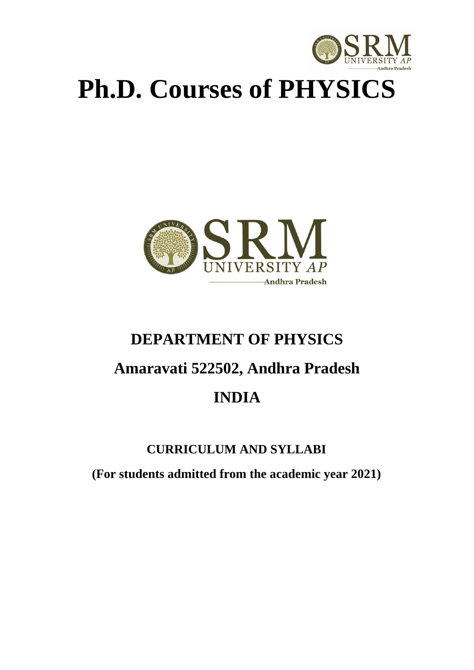

# **Ph.D. Courses of PHYSICS**



# **DEPARTMENT OF PHYSICS Amaravati 522502, Andhra Pradesh INDIA**

# **CURRICULUM AND SYLLABI**

**(For students admitted from the academic year 2021)**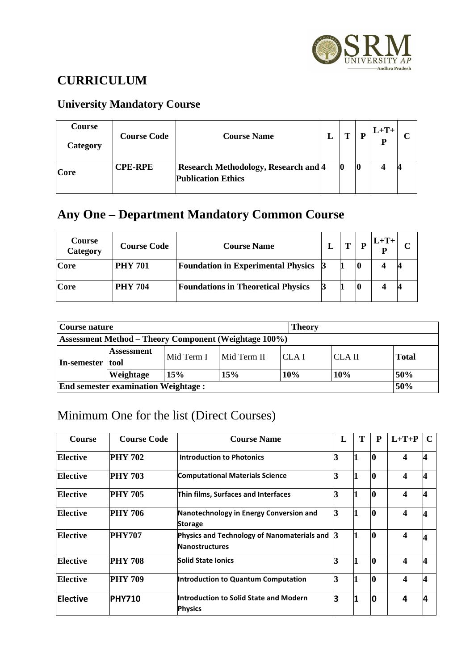

# **CURRICULUM**

# **University Mandatory Course**

| <b>Course</b><br>Category | <b>Course Code</b> | <b>Course Name</b>                                                       | m | D | $L+T+$<br>p |  |
|---------------------------|--------------------|--------------------------------------------------------------------------|---|---|-------------|--|
| Core                      | <b>CPE-RPE</b>     | <b>Research Methodology, Research and 4</b><br><b>Publication Ethics</b> |   |   |             |  |

# **Any One – Department Mandatory Common Course**

| <b>Course</b><br>Category | <b>Course Code</b> | <b>Course Name</b>                        | т | P | $L+T+$ |  |
|---------------------------|--------------------|-------------------------------------------|---|---|--------|--|
| Core                      | <b>PHY 701</b>     | <b>Foundation in Experimental Physics</b> |   |   |        |  |
| Core                      | <b>PHY 704</b>     | <b>Foundations in Theoretical Physics</b> |   |   |        |  |

|                                                              | Course nature               |            |             |                  | <b>Theory</b> |              |  |  |  |  |
|--------------------------------------------------------------|-----------------------------|------------|-------------|------------------|---------------|--------------|--|--|--|--|
| <b>Assessment Method – Theory Component (Weightage 100%)</b> |                             |            |             |                  |               |              |  |  |  |  |
| In-semester                                                  | <b>Assessment</b><br>  tool | Mid Term I | Mid Term II | CLA <sub>I</sub> | CLA II        | <b>Total</b> |  |  |  |  |
|                                                              | Weightage                   | 15%        | 15%         | 10%              | 10%           | 50%          |  |  |  |  |
| 50%<br><b>End semester examination Weightage:</b>            |                             |            |             |                  |               |              |  |  |  |  |

# Minimum One for the list (Direct Courses)

| <b>Course</b>   | <b>Course Code</b> | <b>Course Name</b>                                                   | L | T | P        | $L+T+P$          | $\mathbf C$ |
|-----------------|--------------------|----------------------------------------------------------------------|---|---|----------|------------------|-------------|
| Elective        | <b>PHY 702</b>     | <b>Introduction to Photonics</b>                                     |   |   | 10       | $\boldsymbol{4}$ | Δ           |
| <b>Elective</b> | <b>PHY 703</b>     | <b>Computational Materials Science</b>                               |   |   | $\bf{0}$ | 4                |             |
| Elective        | <b>PHY 705</b>     | Thin films, Surfaces and Interfaces                                  |   |   | $\bf{0}$ | 4                | Δ           |
| Elective        | <b>PHY 706</b>     | Nanotechnology in Energy Conversion and<br><b>Storage</b>            |   |   | 0        | 4                | 4           |
| Elective        | <b>PHY707</b>      | Physics and Technology of Nanomaterials and<br><b>Nanostructures</b> | B |   | $\bf{0}$ | 4                |             |
| Elective        | <b>PHY 708</b>     | <b>Solid State Ionics</b>                                            |   |   | 0        | $\boldsymbol{4}$ |             |
| Elective        | <b>PHY 709</b>     | Introduction to Quantum Computation                                  |   |   | $\bf{0}$ | 4                |             |
| Elective        | <b>PHY710</b>      | Introduction to Solid State and Modern<br><b>Physics</b>             |   |   | 0        | 4                |             |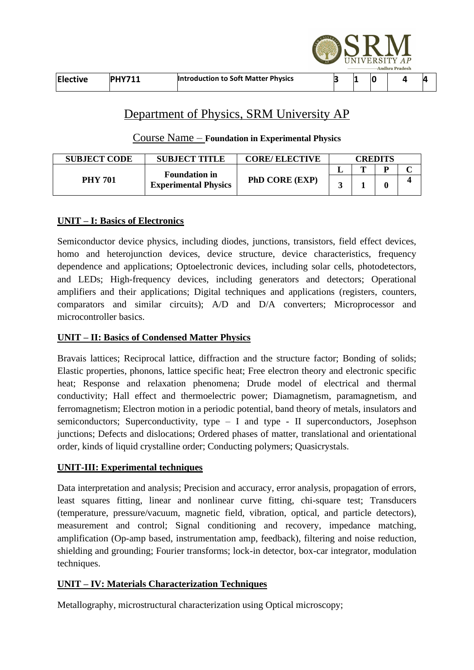|          |               |                                     |  |    | UNIVERSITY AP<br><b>Andhra Pradesh</b> |   |
|----------|---------------|-------------------------------------|--|----|----------------------------------------|---|
| Elective | <b>PHY711</b> | Introduction to Soft Matter Physics |  | IC |                                        | 4 |

**ANDITI** 

# Department of Physics, SRM University AP

## Course Name – **Foundation in Experimental Physics**

| <b>SUBJECT CODE</b> | <b>SUBJECT TITLE</b>                                | <b>CORE/ ELECTIVE</b> | CREDITS |  |  |  |
|---------------------|-----------------------------------------------------|-----------------------|---------|--|--|--|
|                     |                                                     |                       |         |  |  |  |
| <b>PHY 701</b>      | <b>Foundation in</b><br><b>Experimental Physics</b> | <b>PhD CORE (EXP)</b> |         |  |  |  |

## **UNIT – I: Basics of Electronics**

Semiconductor device physics, including diodes, junctions, transistors, field effect devices, homo and heterojunction devices, device structure, device characteristics, frequency dependence and applications; Optoelectronic devices, including solar cells, photodetectors, and LEDs; High-frequency devices, including generators and detectors; Operational amplifiers and their applications; Digital techniques and applications (registers, counters, comparators and similar circuits); A/D and D/A converters; Microprocessor and microcontroller basics.

### **UNIT – II: Basics of Condensed Matter Physics**

Bravais lattices; Reciprocal lattice, diffraction and the structure factor; Bonding of solids; Elastic properties, phonons, lattice specific heat; Free electron theory and electronic specific heat; Response and relaxation phenomena; Drude model of electrical and thermal conductivity; Hall effect and thermoelectric power; Diamagnetism, paramagnetism, and ferromagnetism; Electron motion in a periodic potential, band theory of metals, insulators and semiconductors; Superconductivity, type – I and type - II superconductors, Josephson junctions; Defects and dislocations; Ordered phases of matter, translational and orientational order, kinds of liquid crystalline order; Conducting polymers; Quasicrystals.

## **UNIT-III: Experimental techniques**

Data interpretation and analysis; Precision and accuracy, error analysis, propagation of errors, least squares fitting, linear and nonlinear curve fitting, chi-square test; Transducers (temperature, pressure/vacuum, magnetic field, vibration, optical, and particle detectors), measurement and control; Signal conditioning and recovery, impedance matching, amplification (Op-amp based, instrumentation amp, feedback), filtering and noise reduction, shielding and grounding; Fourier transforms; lock-in detector, box-car integrator, modulation techniques.

## **UNIT – IV: Materials Characterization Techniques**

Metallography, microstructural characterization using Optical microscopy;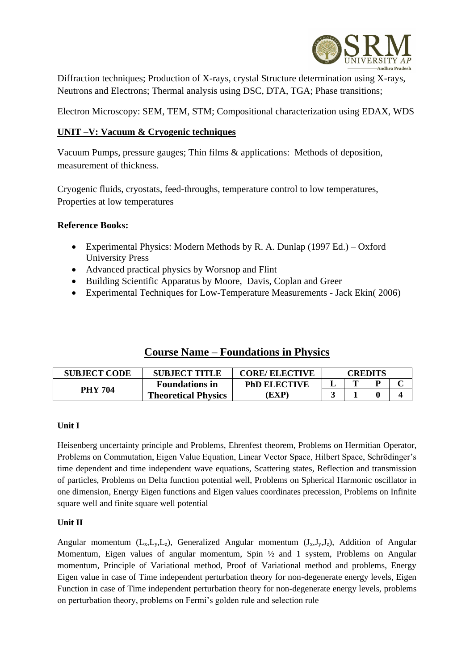

Diffraction techniques; Production of X-rays, crystal Structure determination using X-rays, Neutrons and Electrons; Thermal analysis using DSC, DTA, TGA; Phase transitions;

Electron Microscopy: SEM, TEM, STM; Compositional characterization using EDAX, WDS

#### **UNIT –V: Vacuum & Cryogenic techniques**

Vacuum Pumps, pressure gauges; Thin films & applications: Methods of deposition, measurement of thickness.

Cryogenic fluids, cryostats, feed-throughs, temperature control to low temperatures, Properties at low temperatures

#### **Reference Books:**

- [Experimental Physics: Modern Methods](http://www.amazon.com/dp/0195049497/ref=rdr_ext_tmb) by [R. A. Dunlap](http://www.amazon.com/s/ref=rdr_ext_aut?_encoding=UTF8&index=books&field-author=R.%20A.%20Dunlap) (1997 Ed.) Oxford University Press
- Advanced practical physics by Worsnop and Flint
- Building Scientific Apparatus by Moore, Davis, Coplan and Greer
- Experimental Techniques for Low-Temperature Measurements Jack Ekin( 2006)

## **Course Name – Foundations in Physics**

| <b>SUBJECT CODE</b> | <b>SUBJECT TITLE</b>       | <b>CORE/ ELECTIVE</b> | CREDITS |  |  |  |
|---------------------|----------------------------|-----------------------|---------|--|--|--|
|                     | <b>Foundations in</b>      | <b>PhD ELECTIVE</b>   |         |  |  |  |
| <b>PHY 704</b>      | <b>Theoretical Physics</b> | EXP)                  |         |  |  |  |

#### **Unit I**

Heisenberg uncertainty principle and Problems, Ehrenfest theorem, Problems on Hermitian Operator, Problems on Commutation, Eigen Value Equation, Linear Vector Space, Hilbert Space, Schrödinger's time dependent and time independent wave equations, Scattering states, Reflection and transmission of particles, Problems on Delta function potential well, Problems on Spherical Harmonic oscillator in one dimension, Energy Eigen functions and Eigen values coordinates precession, Problems on Infinite square well and finite square well potential

#### **Unit II**

Angular momentum  $(L_x, L_y, L_z)$ , Generalized Angular momentum  $(J_x, J_y, L_z)$ , Addition of Angular Momentum, Eigen values of angular momentum, Spin  $\frac{1}{2}$  and 1 system, Problems on Angular momentum, Principle of Variational method, Proof of Variational method and problems, Energy Eigen value in case of Time independent perturbation theory for non-degenerate energy levels, Eigen Function in case of Time independent perturbation theory for non-degenerate energy levels, problems on perturbation theory, problems on Fermi's golden rule and selection rule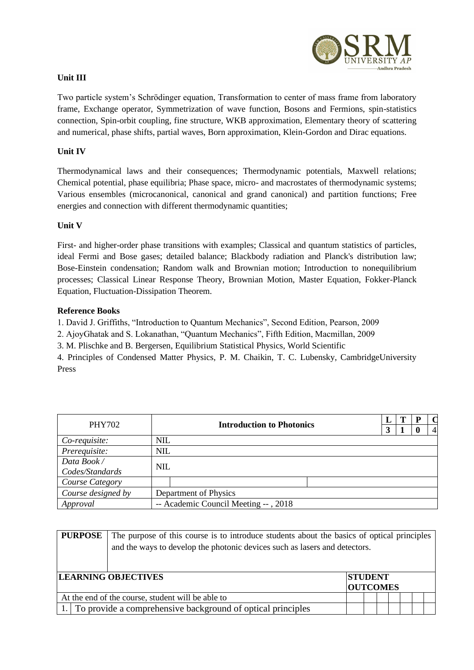

#### **Unit III**

Two particle system's Schrödinger equation, Transformation to center of mass frame from laboratory frame, Exchange operator, Symmetrization of wave function, Bosons and Fermions, spin-statistics connection, Spin-orbit coupling, fine structure, WKB approximation, Elementary theory of scattering and numerical, phase shifts, partial waves, Born approximation, Klein-Gordon and Dirac equations.

#### **Unit IV**

Thermodynamical laws and their consequences; Thermodynamic potentials, Maxwell relations; Chemical potential, phase equilibria; Phase space, micro- and macrostates of thermodynamic systems; Various ensembles (microcanonical, canonical and grand canonical) and partition functions; Free energies and connection with different thermodynamic quantities;

#### **Unit V**

First- and higher-order phase transitions with examples; Classical and quantum statistics of particles, ideal Fermi and Bose gases; detailed balance; Blackbody radiation and Planck's distribution law; Bose-Einstein condensation; Random walk and Brownian motion; Introduction to nonequilibrium processes; Classical Linear Response Theory, Brownian Motion, Master Equation, Fokker-Planck Equation, Fluctuation-Dissipation Theorem.

#### **Reference Books**

1. David J. Griffiths, "Introduction to Quantum Mechanics", Second Edition, Pearson, 2009

2. AjoyGhatak and S. Lokanathan, "Quantum Mechanics", Fifth Edition, Macmillan, 2009

3. M. Plischke and B. Bergersen, Equilibrium Statistical Physics, World Scientific

4. Principles of Condensed Matter Physics, P. M. Chaikin, T. C. Lubensky, CambridgeUniversity Press

| <b>PHY702</b>      | <b>Introduction to Photonics</b>     |  |  | . Р |                |
|--------------------|--------------------------------------|--|--|-----|----------------|
|                    |                                      |  |  |     | $\overline{4}$ |
| Co-requisite:      | <b>NIL</b>                           |  |  |     |                |
| Prerequisite:      | <b>NIL</b>                           |  |  |     |                |
| Data Book/         | <b>NIL</b>                           |  |  |     |                |
| Codes/Standards    |                                      |  |  |     |                |
| Course Category    |                                      |  |  |     |                |
| Course designed by | Department of Physics                |  |  |     |                |
| Approval           | -- Academic Council Meeting --, 2018 |  |  |     |                |

| The purpose of this course is to introduce students about the basics of optical principles |                                   |  |                                                                            |  |  |  |  |  |  |
|--------------------------------------------------------------------------------------------|-----------------------------------|--|----------------------------------------------------------------------------|--|--|--|--|--|--|
|                                                                                            |                                   |  |                                                                            |  |  |  |  |  |  |
|                                                                                            |                                   |  |                                                                            |  |  |  |  |  |  |
|                                                                                            |                                   |  |                                                                            |  |  |  |  |  |  |
|                                                                                            | <b>STUDENT</b><br><b>OUTCOMES</b> |  |                                                                            |  |  |  |  |  |  |
| At the end of the course, student will be able to                                          |                                   |  |                                                                            |  |  |  |  |  |  |
| 1. To provide a comprehensive background of optical principles                             |                                   |  |                                                                            |  |  |  |  |  |  |
|                                                                                            | <b>LEARNING OBJECTIVES</b>        |  | and the ways to develop the photonic devices such as lasers and detectors. |  |  |  |  |  |  |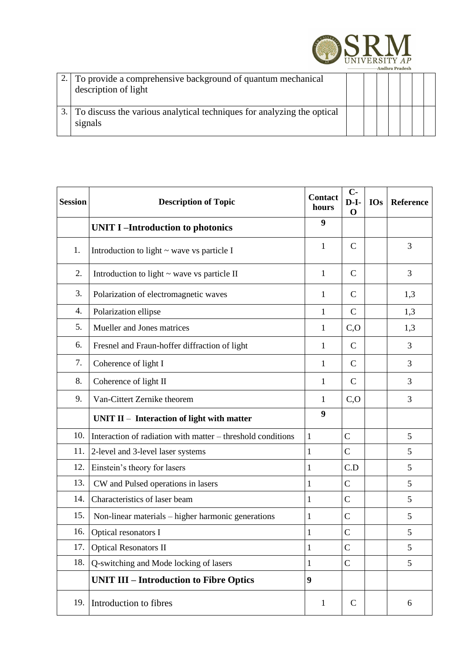

| 2. To provide a comprehensive background of quantum mechanical<br>description of light |  |  |  |  |
|----------------------------------------------------------------------------------------|--|--|--|--|
| 3. To discuss the various analytical techniques for analyzing the optical<br>signals   |  |  |  |  |

| <b>Session</b> | <b>Description of Topic</b>                                 | <b>Contact</b><br>hours | $C -$<br>D-I-<br>$\mathbf 0$ | <b>IOs</b> | Reference |
|----------------|-------------------------------------------------------------|-------------------------|------------------------------|------------|-----------|
|                | <b>UNIT I-Introduction to photonics</b>                     | 9                       |                              |            |           |
| 1.             | Introduction to light $\sim$ wave vs particle I             | 1                       | $\mathsf{C}$                 |            | 3         |
| 2.             | Introduction to light $\sim$ wave vs particle II            | $\mathbf{1}$            | $\mathbf C$                  |            | 3         |
| 3.             | Polarization of electromagnetic waves                       | $\mathbf{1}$            | $\mathcal{C}$                |            | 1,3       |
| 4.             | Polarization ellipse                                        | $\mathbf{1}$            | $\mathcal{C}$                |            | 1,3       |
| 5.             | Mueller and Jones matrices                                  | 1                       | C, O                         |            | 1,3       |
| 6.             | Fresnel and Fraun-hoffer diffraction of light               | 1                       | $\mathsf{C}$                 |            | 3         |
| 7.             | Coherence of light I                                        | 1                       | $\mathbf C$                  |            | 3         |
| 8.             | Coherence of light II                                       | 1                       | $\mathcal{C}$                |            | 3         |
| 9.             | Van-Cittert Zernike theorem                                 | 1                       | C, O                         |            | 3         |
|                | UNIT $II$ – Interaction of light with matter                | 9                       |                              |            |           |
| 10.            | Interaction of radiation with matter – threshold conditions | 1                       | $\overline{C}$               |            | 5         |
| 11.            | 2-level and 3-level laser systems                           | 1                       | $\mathcal{C}$                |            | 5         |
| 12.            | Einstein's theory for lasers                                | 1                       | C.D                          |            | 5         |
| 13.            | CW and Pulsed operations in lasers                          | $\mathbf{1}$            | $\overline{C}$               |            | 5         |
| 14.            | Characteristics of laser beam                               | 1                       | $\mathcal{C}$                |            | 5         |
| 15.            | Non-linear materials – higher harmonic generations          | 1                       | $\mathcal{C}$                |            | 5         |
| 16.            | Optical resonators I                                        | 1                       | $\mathbf C$                  |            | 5         |
| 17.            | <b>Optical Resonators II</b>                                | 1                       | $\mathsf{C}$                 |            | 5         |
| 18.            | Q-switching and Mode locking of lasers                      | 1                       | $\mathcal{C}$                |            | 5         |
|                | <b>UNIT III - Introduction to Fibre Optics</b>              | 9                       |                              |            |           |
| 19.            | Introduction to fibres                                      | $\mathbf{1}$            | $\mathbf C$                  |            | 6         |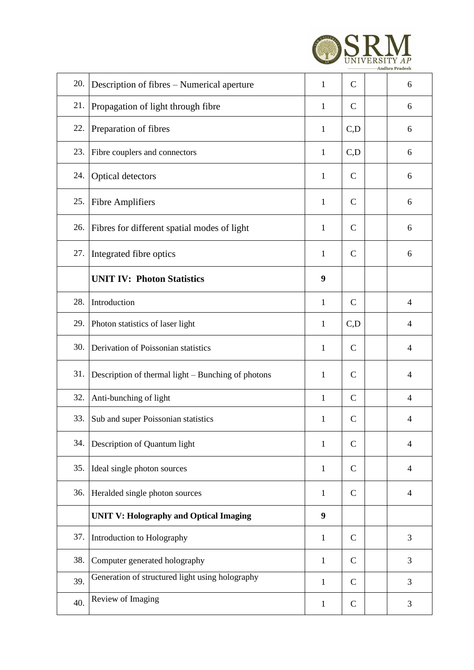

| 20. | Description of fibres – Numerical aperture         | $\mathbf{1}$ | $\mathbf C$   | 6              |
|-----|----------------------------------------------------|--------------|---------------|----------------|
| 21. | Propagation of light through fibre                 | $\mathbf{1}$ | $\mathbf C$   | 6              |
| 22. | Preparation of fibres                              | 1            | C,D           | 6              |
| 23. | Fibre couplers and connectors                      | $\mathbf{1}$ | C,D           | 6              |
| 24. | Optical detectors                                  | 1            | $\mathcal{C}$ | 6              |
| 25. | <b>Fibre Amplifiers</b>                            | 1            | $\mathsf{C}$  | 6              |
| 26. | Fibres for different spatial modes of light        | 1            | $\mathsf{C}$  | 6              |
| 27. | Integrated fibre optics                            | $\mathbf{1}$ | $\mathsf{C}$  | 6              |
|     | <b>UNIT IV: Photon Statistics</b>                  | 9            |               |                |
| 28. | Introduction                                       | $\mathbf{1}$ | $\mathsf{C}$  | $\overline{4}$ |
| 29. | Photon statistics of laser light                   | $\mathbf{1}$ | C,D           | $\overline{4}$ |
| 30. | Derivation of Poissonian statistics                | 1            | $\mathsf{C}$  | $\overline{4}$ |
| 31. | Description of thermal light – Bunching of photons | 1            | $\mathcal{C}$ | $\overline{4}$ |
| 32. | Anti-bunching of light                             | $\mathbf{1}$ | $\mathbf C$   | $\overline{4}$ |
| 33. | Sub and super Poissonian statistics                | 1            | $\mathbf C$   | 4              |
| 34. | Description of Quantum light                       | 1            | $\mathsf{C}$  | $\overline{4}$ |
| 35. | Ideal single photon sources                        | $\mathbf{1}$ | $\mathsf{C}$  | 4              |
| 36. | Heralded single photon sources                     | $\mathbf{1}$ | $\mathsf{C}$  | $\overline{4}$ |
|     | <b>UNIT V: Holography and Optical Imaging</b>      | 9            |               |                |
| 37. | Introduction to Holography                         | 1            | $\mathsf{C}$  | 3              |
| 38. | Computer generated holography                      | $\mathbf{1}$ | $\mathsf{C}$  | 3              |
| 39. | Generation of structured light using holography    | 1            | $\mathsf{C}$  | 3              |
| 40. | Review of Imaging                                  | $\mathbf{1}$ | $\mathcal{C}$ | 3              |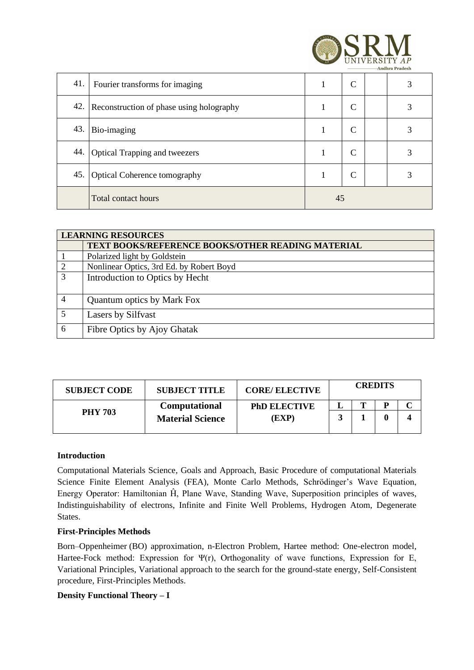

| 41. | Fourier transforms for imaging           |    | C |  | 3 |
|-----|------------------------------------------|----|---|--|---|
| 42. | Reconstruction of phase using holography |    | C |  | 3 |
| 43. | Bio-imaging                              |    | C |  |   |
| 44. | <b>Optical Trapping and tweezers</b>     |    | C |  |   |
| 45. | <b>Optical Coherence tomography</b>      |    | C |  |   |
|     | <b>Total contact hours</b>               | 45 |   |  |   |

|               | <b>LEARNING RESOURCES</b>                                |  |  |  |  |  |
|---------------|----------------------------------------------------------|--|--|--|--|--|
|               | <b>TEXT BOOKS/REFERENCE BOOKS/OTHER READING MATERIAL</b> |  |  |  |  |  |
|               | Polarized light by Goldstein                             |  |  |  |  |  |
|               | Nonlinear Optics, 3rd Ed. by Robert Boyd                 |  |  |  |  |  |
| $\mathcal{R}$ | Introduction to Optics by Hecht                          |  |  |  |  |  |
|               | <b>Quantum optics by Mark Fox</b>                        |  |  |  |  |  |
| 5             | Lasers by Silfvast                                       |  |  |  |  |  |
| 6             | Fibre Optics by Ajoy Ghatak                              |  |  |  |  |  |

| <b>SUBJECT CODE</b> | <b>SUBJECT TITLE</b>    | <b>CORE/ELECTIVE</b> | <b>CREDITS</b> |  |  |  |
|---------------------|-------------------------|----------------------|----------------|--|--|--|
|                     | Computational           | <b>PhD ELECTIVE</b>  |                |  |  |  |
| <b>PHY 703</b>      | <b>Material Science</b> | (EXP                 |                |  |  |  |
|                     |                         |                      |                |  |  |  |

#### **Introduction**

Computational Materials Science, Goals and Approach, Basic Procedure of computational Materials Science Finite Element Analysis (FEA), Monte Carlo Methods, Schrödinger's Wave Equation, Energy Operator: Hamiltonian Ĥ, Plane Wave, Standing Wave, Superposition principles of waves, Indistinguishability of electrons, Infinite and Finite Well Problems, Hydrogen Atom, Degenerate States.

#### **First-Principles Methods**

Born–Oppenheimer (BO) approximation, n-Electron Problem, Hartee method: One-electron model, Hartee-Fock method: Expression for Ψ(r), Orthogonality of wave functions, Expression for E, Variational Principles, Variational approach to the search for the ground-state energy, Self-Consistent procedure, First-Principles Methods.

#### **Density Functional Theory – I**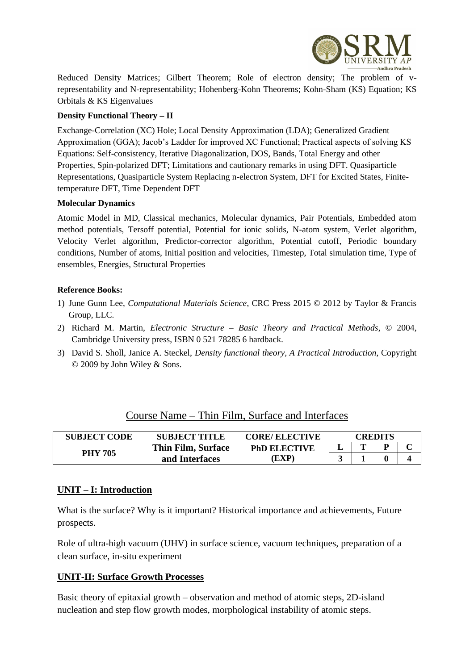

Reduced Density Matrices; Gilbert Theorem; Role of electron density; The problem of vrepresentability and N-representability; Hohenberg-Kohn Theorems; Kohn-Sham (KS) Equation; KS Orbitals & KS Eigenvalues

#### **Density Functional Theory – II**

Exchange-Correlation (XC) Hole; Local Density Approximation (LDA); Generalized Gradient Approximation (GGA); Jacob's Ladder for improved XC Functional; Practical aspects of solving KS Equations: Self-consistency, Iterative Diagonalization, DOS, Bands, Total Energy and other Properties, Spin-polarized DFT; Limitations and cautionary remarks in using DFT. Quasiparticle Representations, Quasiparticle System Replacing n-electron System, DFT for Excited States, Finitetemperature DFT, Time Dependent DFT

#### **Molecular Dynamics**

Atomic Model in MD, Classical mechanics, Molecular dynamics, Pair Potentials, Embedded atom method potentials, Tersoff potential, Potential for ionic solids, N-atom system, Verlet algorithm, Velocity Verlet algorithm, Predictor-corrector algorithm, Potential cutoff, Periodic boundary conditions, Number of atoms, Initial position and velocities, Timestep, Total simulation time, Type of ensembles, Energies, Structural Properties

#### **Reference Books:**

- 1) June Gunn Lee, *Computational Materials Science*, CRC Press 2015 © 2012 by Taylor & Francis Group, LLC.
- 2) Richard M. Martin, *Electronic Structure – Basic Theory and Practical Methods*, © 2004, Cambridge University press, ISBN 0 521 78285 6 hardback.
- 3) David S. Sholl, Janice A. Steckel, *Density functional theory, A Practical Introduction*, Copyright © 2009 by John Wiley & Sons.

| Course Name – Thin Film, Surface and Interfaces |
|-------------------------------------------------|
|-------------------------------------------------|

| <b>SUBJECT CODE</b> | <b>SUBJECT TITLE</b> | <b>CORE/ ELECTIVE</b> | CREDITS |   |  |  |
|---------------------|----------------------|-----------------------|---------|---|--|--|
|                     | Thin Film, Surface   | <b>PhD ELECTIVE</b>   |         | m |  |  |
| <b>PHY 705</b>      | and Interfaces       | $EXP^{\circ}$         |         |   |  |  |

#### **UNIT – I: Introduction**

What is the surface? Why is it important? Historical importance and achievements, Future prospects.

Role of ultra-high vacuum (UHV) in surface science, vacuum techniques, preparation of a clean surface, in-situ experiment

## **UNIT-II: Surface Growth Processes**

Basic theory of epitaxial growth – observation and method of atomic steps, 2D-island nucleation and step flow growth modes, morphological instability of atomic steps.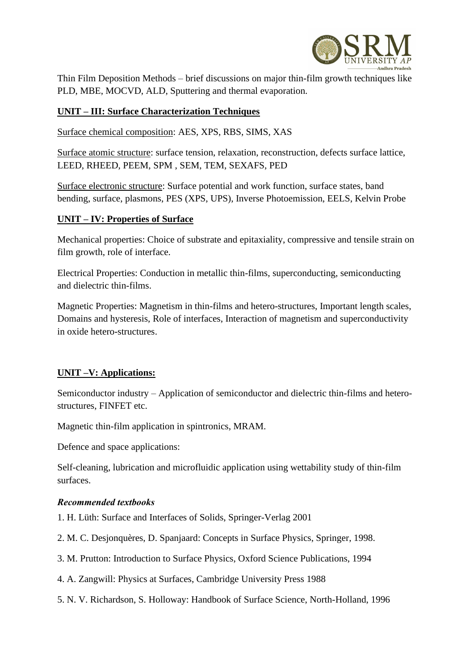

Thin Film Deposition Methods – brief discussions on major thin-film growth techniques like PLD, MBE, MOCVD, ALD, Sputtering and thermal evaporation.

#### **UNIT – III: Surface Characterization Techniques**

Surface chemical composition: AES, XPS, RBS, SIMS, XAS

Surface atomic structure: surface tension, relaxation, reconstruction, defects surface lattice, LEED, RHEED, PEEM, SPM , SEM, TEM, SEXAFS, PED

Surface electronic structure: Surface potential and work function, surface states, band bending, surface, plasmons, PES (XPS, UPS), Inverse Photoemission, EELS, Kelvin Probe

#### **UNIT – IV: Properties of Surface**

Mechanical properties: Choice of substrate and epitaxiality, compressive and tensile strain on film growth, role of interface.

Electrical Properties: Conduction in metallic thin-films, superconducting, semiconducting and dielectric thin-films.

Magnetic Properties: Magnetism in thin-films and hetero-structures, Important length scales, Domains and hysteresis, Role of interfaces, Interaction of magnetism and superconductivity in oxide hetero-structures.

#### **UNIT –V: Applications:**

Semiconductor industry – Application of semiconductor and dielectric thin-films and heterostructures, FINFET etc.

Magnetic thin-film application in spintronics, MRAM.

Defence and space applications:

Self-cleaning, lubrication and microfluidic application using wettability study of thin-film surfaces.

#### *Recommended textbooks*

1. H. Lüth: Surface and Interfaces of Solids, Springer-Verlag 2001

- 2. M. C. Desjonquères, D. Spanjaard: Concepts in Surface Physics, Springer, 1998.
- 3. M. Prutton: Introduction to Surface Physics, Oxford Science Publications, 1994
- 4. A. Zangwill: Physics at Surfaces, Cambridge University Press 1988
- 5. N. V. Richardson, S. Holloway: Handbook of Surface Science, North-Holland, 1996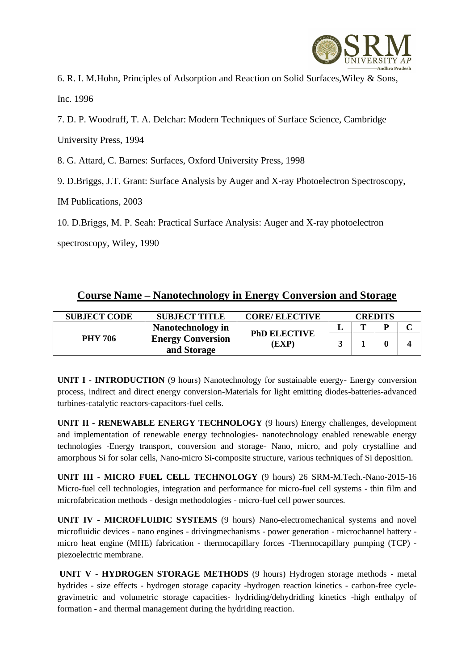

6. R. I. M.Hohn, Principles of Adsorption and Reaction on Solid Surfaces,Wiley & Sons, Inc. 1996

7. D. P. Woodruff, T. A. Delchar: Modern Techniques of Surface Science, Cambridge

University Press, 1994

8. G. Attard, C. Barnes: Surfaces, Oxford University Press, 1998

9. D.Briggs, J.T. Grant: Surface Analysis by Auger and X-ray Photoelectron Spectroscopy,

IM Publications, 2003

10. D.Briggs, M. P. Seah: Practical Surface Analysis: Auger and X-ray photoelectron

spectroscopy, Wiley, 1990

## **Course Name – Nanotechnology in Energy Conversion and Storage**

| <b>SUBJECT CODE</b> | <b>SUBJECT TITLE</b>                    | <b>CORE/ ELECTIVE</b>        | <b>CREDITS</b> |  |   |  |
|---------------------|-----------------------------------------|------------------------------|----------------|--|---|--|
|                     | <b>Nanotechnology</b> in                | <b>PhD ELECTIVE</b><br>(EXP) |                |  | D |  |
| <b>PHY 706</b>      | <b>Energy Conversion</b><br>and Storage |                              |                |  |   |  |

**UNIT I - INTRODUCTION** (9 hours) Nanotechnology for sustainable energy- Energy conversion process, indirect and direct energy conversion-Materials for light emitting diodes-batteries-advanced turbines-catalytic reactors-capacitors-fuel cells.

**UNIT II - RENEWABLE ENERGY TECHNOLOGY** (9 hours) Energy challenges, development and implementation of renewable energy technologies- nanotechnology enabled renewable energy technologies -Energy transport, conversion and storage- Nano, micro, and poly crystalline and amorphous Si for solar cells, Nano-micro Si-composite structure, various techniques of Si deposition.

**UNIT III - MICRO FUEL CELL TECHNOLOGY** (9 hours) 26 SRM-M.Tech.-Nano-2015-16 Micro-fuel cell technologies, integration and performance for micro-fuel cell systems - thin film and microfabrication methods - design methodologies - micro-fuel cell power sources.

**UNIT IV - MICROFLUIDIC SYSTEMS** (9 hours) Nano-electromechanical systems and novel microfluidic devices - nano engines - drivingmechanisms - power generation - microchannel battery micro heat engine (MHE) fabrication - thermocapillary forces -Thermocapillary pumping (TCP) piezoelectric membrane.

**UNIT V - HYDROGEN STORAGE METHODS** (9 hours) Hydrogen storage methods - metal hydrides - size effects - hydrogen storage capacity -hydrogen reaction kinetics - carbon-free cyclegravimetric and volumetric storage capacities- hydriding/dehydriding kinetics -high enthalpy of formation - and thermal management during the hydriding reaction.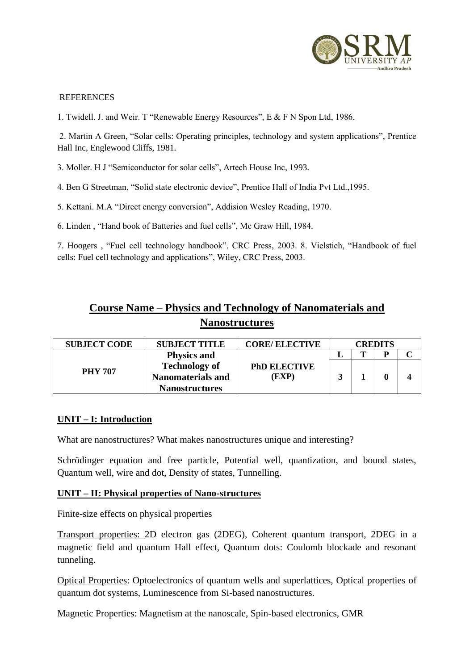

#### REFERENCES

1. Twidell. J. and Weir. T "Renewable Energy Resources", E & F N Spon Ltd, 1986.

2. Martin A Green, "Solar cells: Operating principles, technology and system applications", Prentice Hall Inc, Englewood Cliffs, 1981.

3. Moller. H J "Semiconductor for solar cells", Artech House Inc, 1993.

4. Ben G Streetman, "Solid state electronic device", Prentice Hall of India Pvt Ltd.,1995.

5. Kettani. M.A "Direct energy conversion", Addision Wesley Reading, 1970.

6. Linden , "Hand book of Batteries and fuel cells", Mc Graw Hill, 1984.

7. Hoogers , "Fuel cell technology handbook". CRC Press, 2003. 8. Vielstich, "Handbook of fuel cells: Fuel cell technology and applications", Wiley, CRC Press, 2003.

# **Course Name – Physics and Technology of Nanomaterials and Nanostructures**

| <b>SUBJECT CODE</b> | <b>SUBJECT TITLE</b>     | <b>CORE/ ELECTIVE</b>       | <b>CREDITS</b> |   |   |  |
|---------------------|--------------------------|-----------------------------|----------------|---|---|--|
|                     | <b>Physics and</b>       | <b>PhD ELECTIVE</b><br>(EXP |                | m | D |  |
| <b>PHY 707</b>      | <b>Technology of</b>     |                             |                |   |   |  |
|                     | <b>Nanomaterials and</b> |                             |                |   |   |  |
|                     | <b>Nanostructures</b>    |                             |                |   |   |  |

#### **UNIT – I: Introduction**

What are nanostructures? What makes nanostructures unique and interesting?

Schrödinger equation and free particle, Potential well, quantization, and bound states, Quantum well, wire and dot, Density of states, Tunnelling.

#### **UNIT – II: Physical properties of Nano-structures**

Finite-size effects on physical properties

Transport properties: 2D electron gas (2DEG), Coherent quantum transport, 2DEG in a magnetic field and quantum Hall effect, Quantum dots: Coulomb blockade and resonant tunneling.

Optical Properties: Optoelectronics of quantum wells and superlattices, Optical properties of quantum dot systems, Luminescence from Si-based nanostructures.

Magnetic Properties: Magnetism at the nanoscale, Spin-based electronics, GMR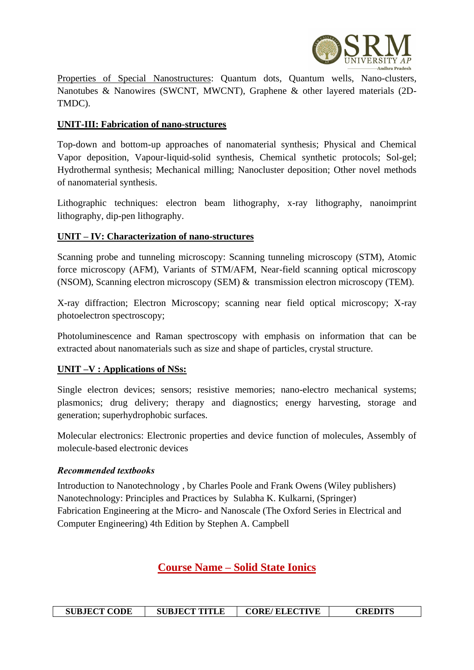

Properties of Special Nanostructures: Quantum dots, Quantum wells, Nano-clusters, Nanotubes & Nanowires (SWCNT, MWCNT), Graphene & other layered materials (2D-TMDC).

#### **UNIT-III: Fabrication of nano-structures**

Top-down and bottom-up approaches of nanomaterial synthesis; Physical and Chemical Vapor deposition, Vapour-liquid-solid synthesis, Chemical synthetic protocols; Sol-gel; Hydrothermal synthesis; Mechanical milling; Nanocluster deposition; Other novel methods of nanomaterial synthesis.

Lithographic techniques: electron beam lithography, x-ray lithography, nanoimprint lithography, dip-pen lithography.

### **UNIT – IV: Characterization of nano-structures**

Scanning probe and tunneling microscopy: Scanning tunneling microscopy (STM), Atomic force microscopy (AFM), Variants of STM/AFM, Near-field scanning optical microscopy (NSOM), Scanning electron microscopy (SEM) & transmission electron microscopy (TEM).

X-ray diffraction; Electron Microscopy; scanning near field optical microscopy; X-ray photoelectron spectroscopy;

Photoluminescence and Raman spectroscopy with emphasis on information that can be extracted about nanomaterials such as size and shape of particles, crystal structure.

#### **UNIT –V : Applications of NSs:**

Single electron devices; sensors; resistive memories; nano-electro mechanical systems; plasmonics; drug delivery; therapy and diagnostics; energy harvesting, storage and generation; superhydrophobic surfaces.

Molecular electronics: Electronic properties and device function of molecules, Assembly of molecule-based electronic devices

#### *Recommended textbooks*

Introduction to Nanotechnology , by Charles Poole and Frank Owens (Wiley publishers) Nanotechnology: Principles and Practices by Sulabha K. Kulkarni, (Springer) Fabrication Engineering at the Micro- and Nanoscale (The Oxford Series in Electrical and Computer Engineering) 4th Edition by Stephen A. Campbell

## **Course Name – Solid State Ionics**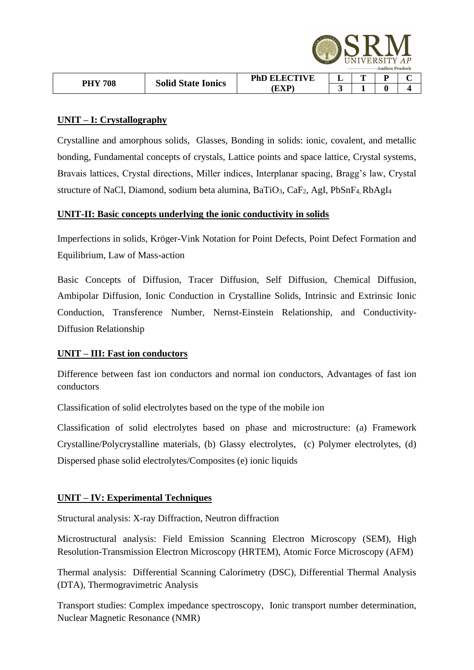|                |                           |                     |   | NIVERSITY AP<br><b>Andhra Pradesh</b> |  |
|----------------|---------------------------|---------------------|---|---------------------------------------|--|
| <b>PHY 708</b> | <b>Solid State Ionics</b> | <b>PhD ELECTIVE</b> | m | D                                     |  |
|                |                           | ЕXР                 |   |                                       |  |

#### **UNIT – I: Crystallography**

Crystalline and amorphous solids, Glasses, Bonding in solids: ionic, covalent, and metallic bonding, Fundamental concepts of crystals, Lattice points and space lattice, Crystal systems, Bravais lattices, Crystal directions, Miller indices, Interplanar spacing, Bragg's law, Crystal structure of NaCl, Diamond, sodium beta alumina, BaTiO<sub>3</sub>, CaF<sub>2</sub>, AgI, PbSnF<sub>4</sub>, RbAgI<sub>4</sub>

#### **UNIT-II: Basic concepts underlying the ionic conductivity in solids**

Imperfections in solids, Kröger-Vink Notation for Point Defects, Point Defect Formation and Equilibrium, Law of Mass-action

Basic Concepts of Diffusion, Tracer Diffusion, Self Diffusion, Chemical Diffusion, Ambipolar Diffusion, Ionic Conduction in Crystalline Solids, Intrinsic and Extrinsic Ionic Conduction, Transference Number, Nernst-Einstein Relationship, and Conductivity-Diffusion Relationship

#### **UNIT – III: Fast ion conductors**

Difference between fast ion conductors and normal ion conductors, Advantages of fast ion conductors

Classification of solid electrolytes based on the type of the mobile ion

Classification of solid electrolytes based on phase and microstructure: (a) Framework Crystalline/Polycrystalline materials, (b) Glassy electrolytes, (c) Polymer electrolytes, (d) Dispersed phase solid electrolytes/Composites (e) ionic liquids

#### **UNIT – IV: Experimental Techniques**

Structural analysis: X-ray Diffraction, Neutron diffraction

Microstructural analysis: Field Emission Scanning Electron Microscopy (SEM), High Resolution-Transmission Electron Microscopy (HRTEM), Atomic Force Microscopy (AFM)

Thermal analysis: Differential Scanning Calorimetry (DSC), Differential Thermal Analysis (DTA), Thermogravimetric Analysis

Transport studies: Complex impedance spectroscopy, Ionic transport number determination, Nuclear Magnetic Resonance (NMR)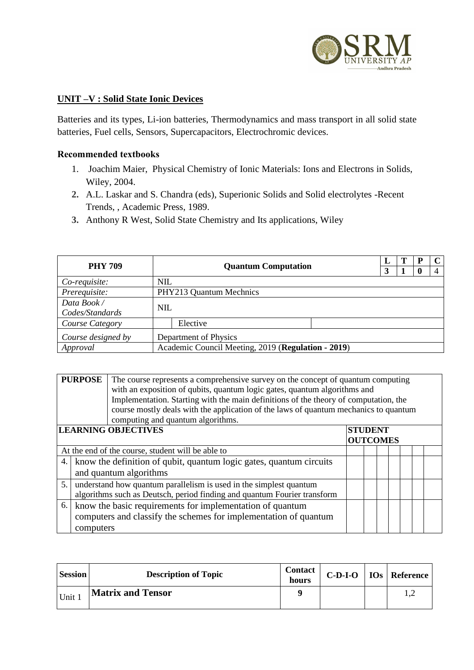

#### **UNIT –V : Solid State Ionic Devices**

Batteries and its types, Li-ion batteries, Thermodynamics and mass transport in all solid state batteries, Fuel cells, Sensors, Supercapacitors, Electrochromic devices.

#### **Recommended textbooks**

- 1. Joachim Maier, Physical Chemistry of Ionic Materials: Ions and Electrons in Solids, Wiley, 2004.
- **2.** A.L. Laskar and S. Chandra (eds), Superionic Solids and Solid electrolytes -Recent Trends, , Academic Press, 1989.
- **3.** Anthony R West, Solid State Chemistry and Its applications, Wiley

| <b>PHY 709</b>     | <b>Quantum Computation</b>                         |                         |  |  | P | C |
|--------------------|----------------------------------------------------|-------------------------|--|--|---|---|
|                    |                                                    |                         |  |  |   |   |
| Co-requisite:      | <b>NIL</b>                                         |                         |  |  |   |   |
| Prerequisite:      |                                                    | PHY213 Quantum Mechnics |  |  |   |   |
| Data Book/         |                                                    |                         |  |  |   |   |
| Codes/Standards    | <b>NIL</b>                                         |                         |  |  |   |   |
| Course Category    |                                                    | Elective                |  |  |   |   |
| Course designed by |                                                    | Department of Physics   |  |  |   |   |
| Approval           | Academic Council Meeting, 2019 (Regulation - 2019) |                         |  |  |   |   |

|                                                                 | <b>PURPOSE</b><br>The course represents a comprehensive survey on the concept of quantum computing<br>with an exposition of qubits, quantum logic gates, quantum algorithms and<br>Implementation. Starting with the main definitions of the theory of computation, the<br>course mostly deals with the application of the laws of quantum mechanics to quantum<br>computing and quantum algorithms. |                                                                                                                               |  |  |  |  |  |  |  |
|-----------------------------------------------------------------|------------------------------------------------------------------------------------------------------------------------------------------------------------------------------------------------------------------------------------------------------------------------------------------------------------------------------------------------------------------------------------------------------|-------------------------------------------------------------------------------------------------------------------------------|--|--|--|--|--|--|--|
| <b>LEARNING OBJECTIVES</b><br><b>STUDENT</b><br><b>OUTCOMES</b> |                                                                                                                                                                                                                                                                                                                                                                                                      |                                                                                                                               |  |  |  |  |  |  |  |
| At the end of the course, student will be able to               |                                                                                                                                                                                                                                                                                                                                                                                                      |                                                                                                                               |  |  |  |  |  |  |  |
| 4.                                                              |                                                                                                                                                                                                                                                                                                                                                                                                      | know the definition of qubit, quantum logic gates, quantum circuits<br>and quantum algorithms                                 |  |  |  |  |  |  |  |
| 5.                                                              | understand how quantum parallelism is used in the simplest quantum<br>algorithms such as Deutsch, period finding and quantum Fourier transform                                                                                                                                                                                                                                                       |                                                                                                                               |  |  |  |  |  |  |  |
| 6.                                                              | computers                                                                                                                                                                                                                                                                                                                                                                                            | know the basic requirements for implementation of quantum<br>computers and classify the schemes for implementation of quantum |  |  |  |  |  |  |  |

| Session | <b>Description of Topic</b> | <b>Contact</b><br>hours | $C-D-I-O$ | <b>IOs</b> Reference |
|---------|-----------------------------|-------------------------|-----------|----------------------|
| Unit .  | <b>Matrix and Tensor</b>    | Q                       |           | ⊥.∠                  |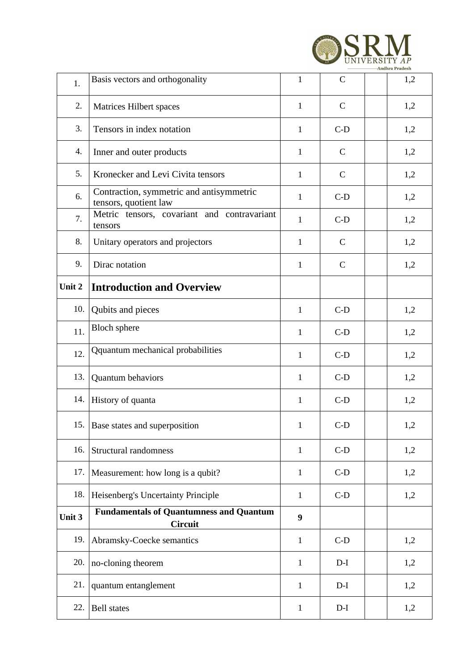

| 1.     | Basis vectors and orthogonality                                   | $\mathbf{1}$ | $\mathcal{C}$ | 1,2 |
|--------|-------------------------------------------------------------------|--------------|---------------|-----|
| 2.     | Matrices Hilbert spaces                                           | $\mathbf{1}$ | $\mathcal{C}$ | 1,2 |
| 3.     | Tensors in index notation                                         | $\mathbf{1}$ | $C-D$         | 1,2 |
| 4.     | Inner and outer products                                          | $\mathbf{1}$ | $\mathsf{C}$  | 1,2 |
| 5.     | Kronecker and Levi Civita tensors                                 | $\mathbf{1}$ | $\mathsf{C}$  | 1,2 |
| 6.     | Contraction, symmetric and antisymmetric<br>tensors, quotient law | $\mathbf{1}$ | $C-D$         | 1,2 |
| 7.     | Metric tensors, covariant and contravariant<br>tensors            | $\mathbf{1}$ | $C-D$         | 1,2 |
| 8.     | Unitary operators and projectors                                  | $\mathbf{1}$ | $\mathsf{C}$  | 1,2 |
| 9.     | Dirac notation                                                    | $\mathbf{1}$ | $\mathbf C$   | 1,2 |
| Unit 2 | <b>Introduction and Overview</b>                                  |              |               |     |
| 10.    | Qubits and pieces                                                 | $\mathbf{1}$ | $C-D$         | 1,2 |
| 11.    | <b>Bloch</b> sphere                                               | 1            | $C-D$         | 1,2 |
| 12.    | Qquantum mechanical probabilities                                 | 1            | $C-D$         | 1,2 |
| 13.    | Quantum behaviors                                                 | $\mathbf{1}$ | $C-D$         | 1,2 |
| 14.    | History of quanta                                                 | 1            | $C-D$         | 1,2 |
|        | 15. Base states and superposition                                 | $\mathbf{1}$ | $C-D$         | 1,2 |
| 16.    | Structural randomness                                             | $\mathbf{1}$ | $C-D$         | 1,2 |
| 17.    | Measurement: how long is a qubit?                                 | $\mathbf{1}$ | $C-D$         | 1,2 |
| 18.    | Heisenberg's Uncertainty Principle                                | $\mathbf{1}$ | $C-D$         | 1,2 |
| Unit 3 | <b>Fundamentals of Quantumness and Quantum</b><br><b>Circuit</b>  | 9            |               |     |
| 19.    | Abramsky-Coecke semantics                                         | $\mathbf{1}$ | $C-D$         | 1,2 |
| 20.    | no-cloning theorem                                                | $\mathbf{1}$ | $D-I$         | 1,2 |
| 21.    | quantum entanglement                                              | $\mathbf{1}$ | $D-I$         | 1,2 |
| 22.    | <b>Bell</b> states                                                | $\mathbf{1}$ | $D-I$         | 1,2 |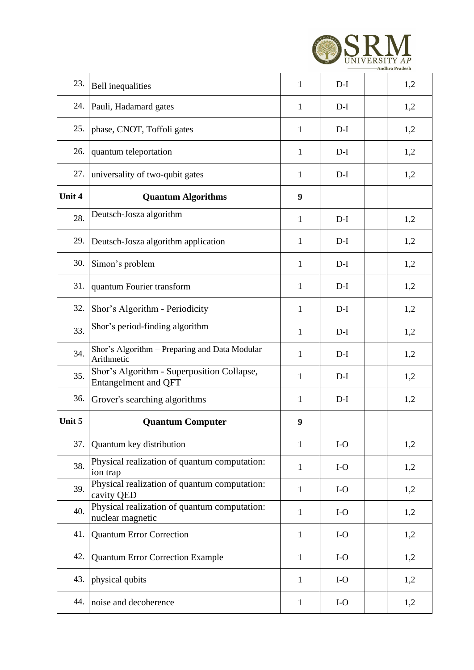

| 23.    | <b>Bell</b> inequalities                                           | $\mathbf{1}$ | $D-I$ | 1,2 |
|--------|--------------------------------------------------------------------|--------------|-------|-----|
| 24.    | Pauli, Hadamard gates                                              | 1            | $D-I$ | 1,2 |
| 25.    | phase, CNOT, Toffoli gates                                         | $\mathbf{1}$ | $D-I$ | 1,2 |
| 26.    | quantum teleportation                                              | 1            | $D-I$ | 1,2 |
| 27.    | universality of two-qubit gates                                    | 1            | $D-I$ | 1,2 |
| Unit 4 | <b>Quantum Algorithms</b>                                          | 9            |       |     |
| 28.    | Deutsch-Josza algorithm                                            | 1            | $D-I$ | 1,2 |
| 29.    | Deutsch-Josza algorithm application                                | 1            | $D-I$ | 1,2 |
| 30.    | Simon's problem                                                    | $\mathbf{1}$ | $D-I$ | 1,2 |
| 31.    | quantum Fourier transform                                          | 1            | $D-I$ | 1,2 |
| 32.    | Shor's Algorithm - Periodicity                                     | 1            | $D-I$ | 1,2 |
| 33.    | Shor's period-finding algorithm                                    | $\mathbf{1}$ | $D-I$ | 1,2 |
| 34.    | Shor's Algorithm - Preparing and Data Modular<br>Arithmetic        | 1            | $D-I$ | 1,2 |
| 35.    | Shor's Algorithm - Superposition Collapse,<br>Entangelment and QFT | 1            | $D-I$ | 1,2 |
| 36.    | Grover's searching algorithms                                      | 1            | $D-I$ | 1,2 |
| Unit 5 | <b>Quantum Computer</b>                                            | 9            |       |     |
| 37.    | Quantum key distribution                                           | 1            | $I-O$ | 1,2 |
| 38.    | Physical realization of quantum computation:<br>ion trap           | $\mathbf{1}$ | $I-O$ | 1,2 |
| 39.    | Physical realization of quantum computation:<br>cavity QED         | $\mathbf{1}$ | $I-O$ | 1,2 |
| 40.    | Physical realization of quantum computation:<br>nuclear magnetic   | $\mathbf{1}$ | $I-O$ | 1,2 |
| 41.    | <b>Quantum Error Correction</b>                                    | $\mathbf{1}$ | $I-O$ | 1,2 |
| 42.    | <b>Quantum Error Correction Example</b>                            | $\mathbf{1}$ | $I-O$ | 1,2 |
| 43.    | physical qubits                                                    | $\mathbf{1}$ | $I-O$ | 1,2 |
|        |                                                                    |              |       |     |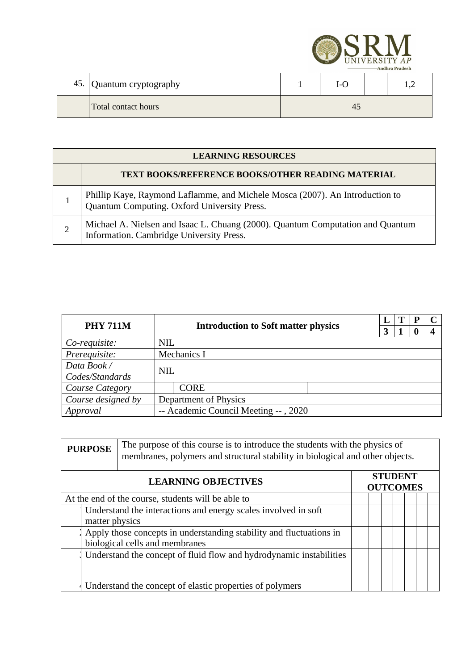

| 45. Quantum cryptography | I-C |  |
|--------------------------|-----|--|
| Total contact hours      |     |  |

| <b>LEARNING RESOURCES</b>                                                                                                   |  |  |  |  |  |  |  |
|-----------------------------------------------------------------------------------------------------------------------------|--|--|--|--|--|--|--|
| TEXT BOOKS/REFERENCE BOOKS/OTHER READING MATERIAL                                                                           |  |  |  |  |  |  |  |
| Phillip Kaye, Raymond Laflamme, and Michele Mosca (2007). An Introduction to<br>Quantum Computing. Oxford University Press. |  |  |  |  |  |  |  |
| Michael A. Nielsen and Isaac L. Chuang (2000). Quantum Computation and Quantum Information. Cambridge University Press.     |  |  |  |  |  |  |  |

| <b>PHY 711M</b>                                  |            |                                            |  |  | P |  |  |
|--------------------------------------------------|------------|--------------------------------------------|--|--|---|--|--|
|                                                  |            | <b>Introduction to Soft matter physics</b> |  |  |   |  |  |
| Co-requisite:                                    | <b>NIL</b> |                                            |  |  |   |  |  |
| Prerequisite:                                    |            | Mechanics I                                |  |  |   |  |  |
| Data Book/                                       | <b>NIL</b> |                                            |  |  |   |  |  |
| Codes/Standards                                  |            |                                            |  |  |   |  |  |
| Course Category                                  |            | <b>CORE</b>                                |  |  |   |  |  |
| Course designed by                               |            | Department of Physics                      |  |  |   |  |  |
| Approval<br>-- Academic Council Meeting --, 2020 |            |                                            |  |  |   |  |  |

| <b>PURPOSE</b>                                                                                        | The purpose of this course is to introduce the students with the physics of<br>membranes, polymers and structural stability in biological and other objects. |                                   |  |  |  |  |  |  |
|-------------------------------------------------------------------------------------------------------|--------------------------------------------------------------------------------------------------------------------------------------------------------------|-----------------------------------|--|--|--|--|--|--|
|                                                                                                       |                                                                                                                                                              | <b>STUDENT</b><br><b>OUTCOMES</b> |  |  |  |  |  |  |
| At the end of the course, students will be able to                                                    |                                                                                                                                                              |                                   |  |  |  |  |  |  |
| Understand the interactions and energy scales involved in soft<br>matter physics                      |                                                                                                                                                              |                                   |  |  |  |  |  |  |
| Apply those concepts in understanding stability and fluctuations in<br>biological cells and membranes |                                                                                                                                                              |                                   |  |  |  |  |  |  |
|                                                                                                       | Understand the concept of fluid flow and hydrodynamic instabilities                                                                                          |                                   |  |  |  |  |  |  |
|                                                                                                       | Understand the concept of elastic properties of polymers                                                                                                     |                                   |  |  |  |  |  |  |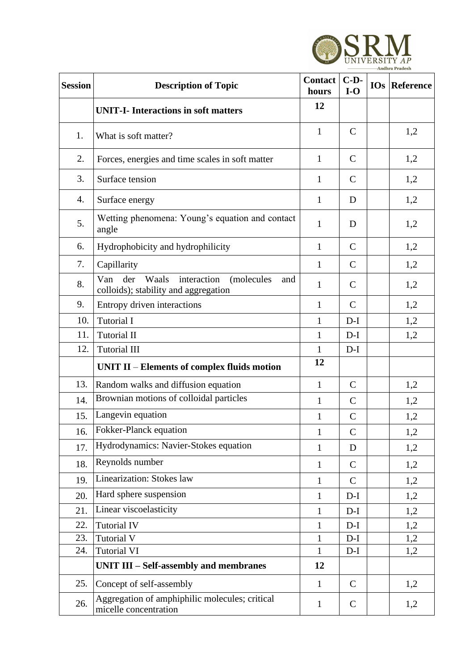

| <b>Session</b> | <b>Description of Topic</b>                                                                     | <b>Contact</b><br>hours | $C-D-$<br>$I-O$ | <b>IOs</b> Reference |
|----------------|-------------------------------------------------------------------------------------------------|-------------------------|-----------------|----------------------|
|                | <b>UNIT-I-</b> Interactions in soft matters                                                     | 12                      |                 |                      |
| 1.             | What is soft matter?                                                                            | $\mathbf{1}$            | $\mathbf C$     | 1,2                  |
| 2.             | Forces, energies and time scales in soft matter                                                 | $\mathbf{1}$            | $\mathbf C$     | 1,2                  |
| 3.             | Surface tension                                                                                 | $\mathbf{1}$            | $\mathcal{C}$   | 1,2                  |
| 4.             | Surface energy                                                                                  | $\mathbf{1}$            | D               | 1,2                  |
| 5.             | Wetting phenomena: Young's equation and contact<br>angle                                        | 1                       | D               | 1,2                  |
| 6.             | Hydrophobicity and hydrophilicity                                                               | $\mathbf{1}$            | $\mathbf C$     | 1,2                  |
| 7.             | Capillarity                                                                                     | 1                       | $\mathbf C$     | 1,2                  |
| 8.             | interaction<br>Van<br>der<br>Waals<br>(molecules<br>and<br>colloids); stability and aggregation | $\mathbf{1}$            | $\mathbf C$     | 1,2                  |
| 9.             | Entropy driven interactions                                                                     | 1                       | $\mathcal{C}$   | 1,2                  |
| 10.            | <b>Tutorial I</b>                                                                               | $\mathbf{1}$            | $D-I$           | 1,2                  |
| 11.            | <b>Tutorial II</b>                                                                              | $\mathbf{1}$            | $D-I$           | 1,2                  |
| 12.            | <b>Tutorial III</b>                                                                             | $\mathbf{1}$            | $D-I$           |                      |
|                | UNIT II - Elements of complex fluids motion                                                     | 12                      |                 |                      |
| 13.            | Random walks and diffusion equation                                                             | $\mathbf{1}$            | $\mathbf C$     | 1,2                  |
| 14.            | Brownian motions of colloidal particles                                                         | $\mathbf{1}$            | $\mathbf C$     | 1,2                  |
| 15.            | Langevin equation                                                                               | $\mathbf{1}$            | $\mathcal{C}$   | 1,2                  |
| 16.            | Fokker-Planck equation                                                                          | $\mathbf{1}$            | $\mathcal{C}$   | 1,2                  |
| 17.            | Hydrodynamics: Navier-Stokes equation                                                           | $\mathbf 1$             | D               | 1,2                  |
| 18.            | Reynolds number                                                                                 | $\mathbf{1}$            | $\mathbf C$     | 1,2                  |
| 19.            | Linearization: Stokes law                                                                       | $\mathbf{1}$            | $\mathbf C$     | 1,2                  |
| 20.            | Hard sphere suspension                                                                          | $\mathbf 1$             | $D-I$           | 1,2                  |
| 21.            | Linear viscoelasticity                                                                          | $\mathbf{1}$            | $D-I$           | 1,2                  |
| 22.            | <b>Tutorial IV</b>                                                                              | 1                       | $D-I$           | 1,2                  |
| 23.            | <b>Tutorial V</b>                                                                               | 1                       | $D-I$           | 1,2                  |
| 24.            | <b>Tutorial VI</b>                                                                              | 1                       | $D-I$           | 1,2                  |
|                | UNIT III - Self-assembly and membranes                                                          | 12                      |                 |                      |
| 25.            | Concept of self-assembly                                                                        | $\mathbf{1}$            | $\mathbf C$     | 1,2                  |
| 26.            | Aggregation of amphiphilic molecules; critical<br>micelle concentration                         | $\mathbf{1}$            | $\mathbf C$     | 1,2                  |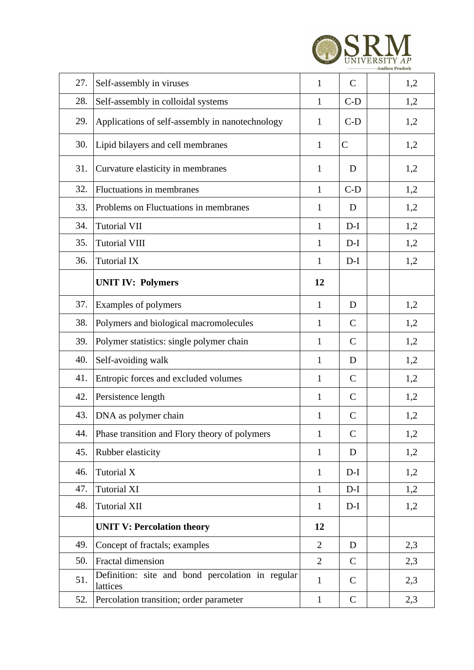| 27. | Self-assembly in viruses                                     | 1              | $\mathbf C$   | 1,2 |
|-----|--------------------------------------------------------------|----------------|---------------|-----|
| 28. | Self-assembly in colloidal systems                           | $\mathbf{1}$   | $C-D$         | 1,2 |
| 29. | Applications of self-assembly in nanotechnology              | $\mathbf{1}$   | $C-D$         | 1,2 |
| 30. | Lipid bilayers and cell membranes                            | $\mathbf{1}$   | $\mathcal{C}$ | 1,2 |
| 31. | Curvature elasticity in membranes                            | $\mathbf{1}$   | D             | 1,2 |
| 32. | Fluctuations in membranes                                    | $\mathbf{1}$   | $C-D$         | 1,2 |
| 33. | Problems on Fluctuations in membranes                        | 1              | D             | 1,2 |
| 34. | <b>Tutorial VII</b>                                          | $\mathbf{1}$   | $D-I$         | 1,2 |
| 35. | <b>Tutorial VIII</b>                                         | 1              | $D-I$         | 1,2 |
| 36. | <b>Tutorial IX</b>                                           | $\mathbf{1}$   | $D-I$         | 1,2 |
|     | <b>UNIT IV: Polymers</b>                                     | 12             |               |     |
| 37. | Examples of polymers                                         | $\mathbf{1}$   | D             | 1,2 |
| 38. | Polymers and biological macromolecules                       | 1              | $\mathcal{C}$ | 1,2 |
| 39. | Polymer statistics: single polymer chain                     | 1              | $\mathcal{C}$ | 1,2 |
| 40. | Self-avoiding walk                                           | 1              | D             | 1,2 |
| 41. | Entropic forces and excluded volumes                         | $\mathbf{1}$   | $\mathcal{C}$ | 1,2 |
| 42. | Persistence length                                           | $\mathbf{1}$   | $\mathbf C$   | 1,2 |
| 43. | DNA as polymer chain                                         | $\mathbf{1}$   | $\mathbf C$   | 1,2 |
| 44. | Phase transition and Flory theory of polymers                | $\mathbf{1}$   | $\mathbf C$   | 1,2 |
| 45. | Rubber elasticity                                            | $\mathbf{1}$   | D             | 1,2 |
| 46. | Tutorial X                                                   | $\mathbf{1}$   | $D-I$         | 1,2 |
| 47. | <b>Tutorial XI</b>                                           | $\mathbf{1}$   | $D-I$         | 1,2 |
| 48. | <b>Tutorial XII</b>                                          | $\mathbf{1}$   | $D-I$         | 1,2 |
|     | <b>UNIT V: Percolation theory</b>                            | 12             |               |     |
| 49. | Concept of fractals; examples                                | $\overline{2}$ | D             | 2,3 |
| 50. | Fractal dimension                                            | $\overline{2}$ | $\mathbf C$   | 2,3 |
| 51. | Definition: site and bond percolation in regular<br>lattices | $\mathbf{1}$   | $\mathbf C$   | 2,3 |
| 52. | Percolation transition; order parameter                      | $\mathbf{1}$   | $\mathbf C$   | 2,3 |